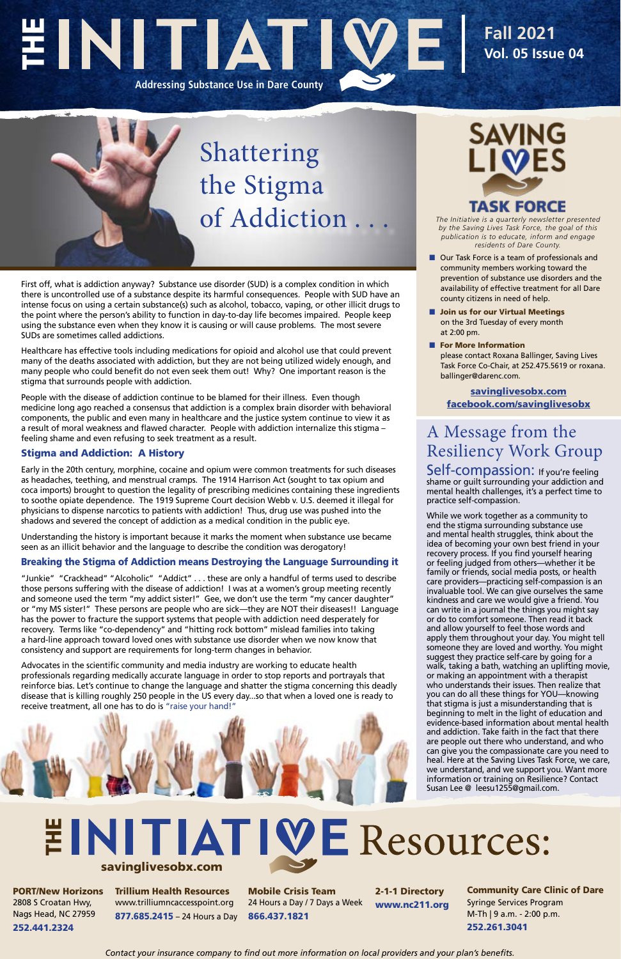*The Initiative is a quarterly newsletter presented by the Saving Lives Task Force, the goal of this publication is to educate, inform and engage residents of Dare County.*

- Our Task Force is a team of professionals and community members working toward the prevention of substance use disorders and the availability of effective treatment for all Dare county citizens in need of help.
- Join us for our Virtual Meetings on the 3rd Tuesday of every month at 2:00 pm.
- For More Information please contact Roxana Ballinger, Saving Lives Task Force Co-Chair, at 252.475.5619 or roxana. ballinger@darenc.com.

# EINITIAT **Addressing Substance Use in Dare County**

## Shattering the Stigma of Addiction...

### **Fall 2021 Vol. 05 Issue 04**

First off, what is addiction anyway? Substance use disorder (SUD) is a complex condition in which there is uncontrolled use of a substance despite its harmful consequences. People with SUD have an intense focus on using a certain substance(s) such as alcohol, tobacco, vaping, or other illicit drugs to the point where the person's ability to function in day-to-day life becomes impaired. People keep using the substance even when they know it is causing or will cause problems. The most severe SUDs are sometimes called addictions.

Healthcare has effective tools including medications for opioid and alcohol use that could prevent many of the deaths associated with addiction, but they are not being utilized widely enough, and many people who could benefit do not even seek them out! Why? One important reason is the stigma that surrounds people with addiction.

People with the disease of addiction continue to be blamed for their illness. Even though medicine long ago reached a consensus that addiction is a complex brain disorder with behavioral components, the public and even many in healthcare and the justice system continue to view it as a result of moral weakness and flawed character. People with addiction internalize this stigma – feeling shame and even refusing to seek treatment as a result.

## **INITIATIVE Resources:** savinglivesobx.com

#### Stigma and Addiction: A History

Early in the 20th century, morphine, cocaine and opium were common treatments for such diseases as headaches, teething, and menstrual cramps. The 1914 Harrison Act (sought to tax opium and coca imports) brought to question the legality of prescribing medicines containing these ingredients to soothe opiate dependence. The 1919 Supreme Court decision Webb v. U.S. deemed it illegal for physicians to dispense narcotics to patients with addiction! Thus, drug use was pushed into the shadows and severed the concept of addiction as a medical condition in the public eye.

Self-compassion: If you're feeling shame or guilt surrounding your addiction and mental health challenges, it's a perfect time to practice self-compassion.

Understanding the history is important because it marks the moment when substance use became seen as an illicit behavior and the language to describe the condition was derogatory!

#### Breaking the Stigma of Addiction means Destroying the Language Surrounding it

"Junkie" "Crackhead" "Alcoholic" "Addict" . . . these are only a handful of terms used to describe those persons suffering with the disease of addiction! I was at a women's group meeting recently and someone used the term "my addict sister!" Gee, we don't use the term "my cancer daughter" or "my MS sister!" These persons are people who are sick—they are NOT their diseases!! Language has the power to fracture the support systems that people with addiction need desperately for recovery. Terms like "co-dependency" and "hitting rock bottom" mislead families into taking a hard-line approach toward loved ones with substance use disorder when we now know that consistency and support are requirements for long-term changes in behavior.

Advocates in the scientific community and media industry are working to educate health professionals regarding medically accurate language in order to stop reports and portrayals that reinforce bias. Let's continue to change the language and shatter the stigma concerning this deadly disease that is killing roughly 250 people in the US every day...so that when a loved one is ready to





PORT/New Horizons 2808 S Croatan Hwy, Nags Head, NC 27959 252.441.2324

Trillium Health Resources www.trilliumncaccesspoint.org 877.685.2415 – 24 Hours a Day

Mobile Crisis Team 24 Hours a Day / 7 Days a Week 866.437.1821

2-1-1 Directory www.nc211.org

Community Care Clinic of Dare Syringe Services Program M-Th | 9 a.m. - 2:00 p.m. 252.261.3041

*Contact your insurance company to find out more information on local providers and your plan's benefits.*

### A Message from the Resiliency Work Group

While we work together as a community to end the stigma surrounding substance use and mental health struggles, think about the idea of becoming your own best friend in your recovery process. If you find yourself hearing or feeling judged from others—whether it be family or friends, social media posts, or health care providers—practicing self-compassion is an invaluable tool. We can give ourselves the same kindness and care we would give a friend. You can write in a journal the things you might say or do to comfort someone. Then read it back and allow yourself to feel those words and apply them throughout your day. You might tell someone they are loved and worthy. You might suggest they practice self-care by going for a walk, taking a bath, watching an uplifting movie, or making an appointment with a therapist who understands their issues. Then realize that you can do all these things for YOU—knowing that stigma is just a misunderstanding that is beginning to melt in the light of education and evidence-based information about mental health and addiction. Take faith in the fact that there are people out there who understand, and who can give you the compassionate care you need to heal. Here at the Saving Lives Task Force, we care, we understand, and we support you. Want more information or training on Resilience? Contact Susan Lee @ leesu1255@gmail.com.

[savinglivesobx.com](https://www.darenc.com/departments/health-human-services-/our-services/substance-abuse-services/saving-lives-task-force) [facebook.com/savinglivesobx](https://www.facebook.com/savinglivesobx)